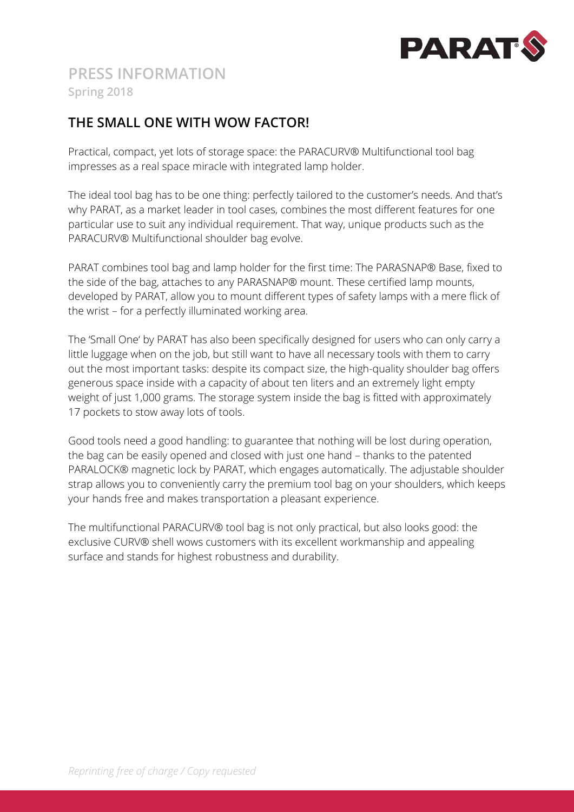

## **THE SMALL ONE WITH WOW FACTOR!**

Practical, compact, yet lots of storage space: the PARACURV® Multifunctional tool bag impresses as a real space miracle with integrated lamp holder.

The ideal tool bag has to be one thing: perfectly tailored to the customer's needs. And that's why PARAT, as a market leader in tool cases, combines the most different features for one particular use to suit any individual requirement. That way, unique products such as the PARACURV® Multifunctional shoulder bag evolve.

PARAT combines tool bag and lamp holder for the first time: The PARASNAP® Base, fixed to the side of the bag, attaches to any PARASNAP® mount. These certified lamp mounts, developed by PARAT, allow you to mount different types of safety lamps with a mere flick of the wrist – for a perfectly illuminated working area.

The 'Small One' by PARAT has also been specifically designed for users who can only carry a little luggage when on the job, but still want to have all necessary tools with them to carry out the most important tasks: despite its compact size, the high-quality shoulder bag offers generous space inside with a capacity of about ten liters and an extremely light empty weight of just 1,000 grams. The storage system inside the bag is fitted with approximately 17 pockets to stow away lots of tools.

Good tools need a good handling: to guarantee that nothing will be lost during operation, the bag can be easily opened and closed with just one hand – thanks to the patented PARALOCK® magnetic lock by PARAT, which engages automatically. The adjustable shoulder strap allows you to conveniently carry the premium tool bag on your shoulders, which keeps your hands free and makes transportation a pleasant experience.

The multifunctional PARACURV® tool bag is not only practical, but also looks good: the exclusive CURV® shell wows customers with its excellent workmanship and appealing surface and stands for highest robustness and durability.